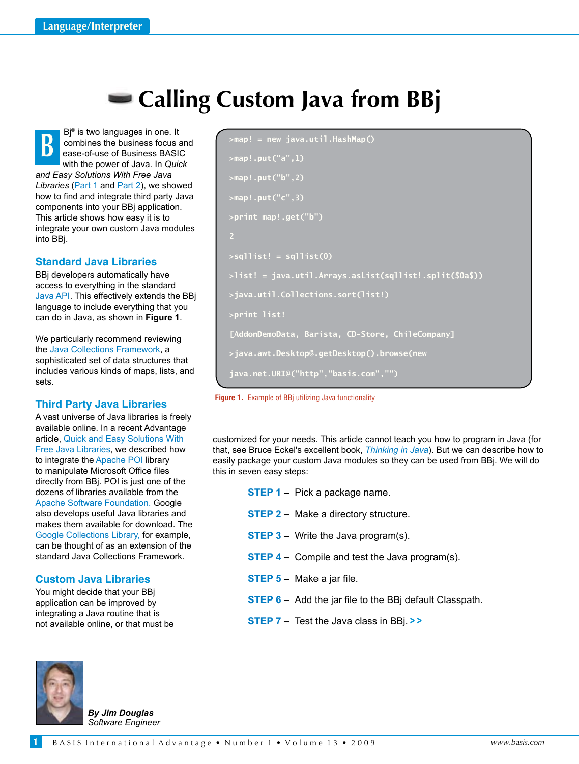# **Calling Custom Java from BBj**

**B** Bj® is two languages in one. It combines the business focus and ease-of-use of Business BASIC with the power of Java. In *Quick and Easy Solutions With Free Java Libraries* [\(Part 1 a](http://www.basis.com/advantage/mag-v12n1/libraries1-08.pdf)n[d Part 2\),](http://www.basis.com/advantage/mag-v12n1/libraries2-08.pdf) we showed how to find and integrate third party Java components into your BBj application. This article shows how easy it is to integrate your own custom Java modules into BBj.

# **Standard Java Libraries**

BBj developers automatically have access to everything in the standard [Java API. T](http://java.sun.com/javase/6/docs/api/overview-summary.html)his effectively extends the BBj language to include everything that you can do in Java, as shown in **Figure 1**.

We particularly recommend reviewing the J[ava Collections Framework, a](http://java.sun.com/javase/6/docs/technotes/guides/collections/index.html) sophisticated set of data structures that includes various kinds of maps, lists, and sets.

## **Third Party Java Libraries**

A vast universe of Java libraries is freely available online. In a recent Advantage articl[e, Quick and Easy Solutions With](http://www.basis.com/advantage/mag-v12n1/libraries1-08.pdf)  [Free Java Libraries, w](http://www.basis.com/advantage/mag-v12n1/libraries1-08.pdf)e described how to integrate th[e Apache POI lib](http://poi.apache.org/)rary to manipulate Microsoft Office files directly from BBj. POI is just one of the dozens of libraries available from the [Apache Software Foundation.](http://apache.org/) Google also develops useful Java libraries and makes them available for download. The [Google Collections Library, fo](http://code.google.com/p/google-collections/)r example, can be thought of as an extension of the standard Java Collections Framework.

## **Custom Java Libraries**

You might decide that your BBj application can be improved by integrating a Java routine that is not available online, or that must be

```
>map! = new java.util.HashMap()
>map!.put("a",1)
>map!.put("b",2)
>map!.put("c",3)
>print map!.get("b")
2
>sqllist! = sqllist(0)
>list! = java.util.Arrays.asList(sqllist!.split($0a$))
>java.util.Collections.sort(list!)
>print list!
[AddonDemoData, Barista, CD-Store, ChileCompany]
>java.awt.Desktop@.getDesktop().browse(new 
java.net.URI@("http","basis.com","")
```


customized for your needs. This article cannot teach you how to program in Java (for that, see Bruce Eckel's excellent book, *Thinking in Java*). But we can describe how to easily package your custom Java modules so they can be used from BBj. We will do this in seven easy steps:

- **STEP 1 Pick a package name.**
- **STEP 2 Make a directory structure.**
- **STEP 3 Write the Java program(s).**
- **STEP 4 –** Compile and test the Java program(s).
- **Step 5** Make a jar file.
- **STEP 6 –** Add the jar file to the BBj default Classpath.
- **Step 7** Test the Java class in BBj. **> >**



**1**

*By Jim Douglas Software Engineer*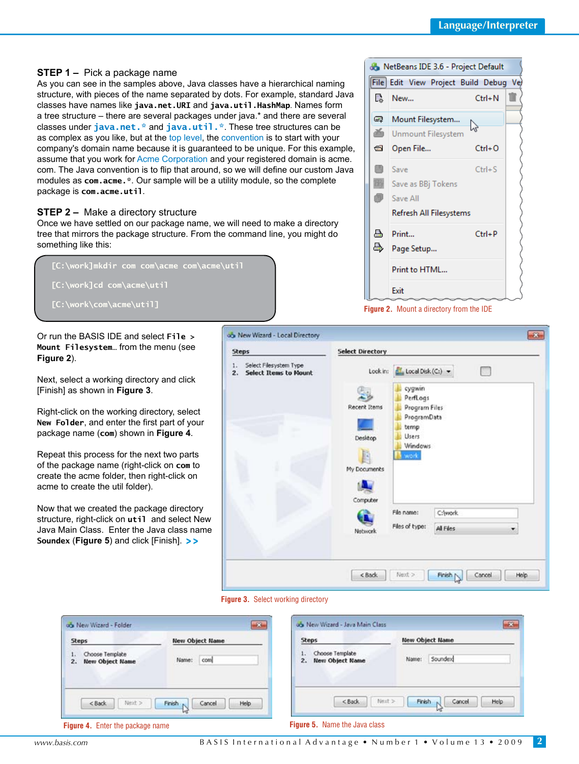# **Step 1 –** Pick a package name

As you can see in the samples above, Java classes have a hierarchical naming structure, with pieces of the name separated by dots. For example, standard Java classes have names like **java.net.URI** and **java.util.HashMap**. Names form a tree structure – there are several packages under java.\* and there are several classes under **[java.net.\\*](http://java.sun.com/javase/6/docs/api/java/net/package-summary.html)** and **[java.util.\\*](http://java.sun.com/javase/6/docs/api/java/util/package-summary.html)**. These tree structures can be as complex as you like, but at the [top level, th](http://en.wikipedia.org/wiki/Java_package)[e convention](http://java.sun.com/docs/books/jls/third_edition/html/packages.html#7.7) is to start with your company's domain name because it is guaranteed to be unique. For this example, assume that you work for [Acme Corporation a](http://en.wikipedia.org/wiki/Acme_Corporation)nd your registered domain is acme. com. The Java convention is to flip that around, so we will define our custom Java modules as **com.acme.\***. Our sample will be a utility module, so the complete package is **com.acme.util**.

# **STEP 2 – Make a directory structure**

Once we have settled on our package name, we will need to make a directory tree that mirrors the package structure. From the command line, you might do something like this:

 **[C:\work]mkdir com com\acme com\acme\util [C:\work]cd com\acme\util [C:\work\com\acme\util]**

Or run the BASIS IDE and select **File > Mount Filesystem…** from the menu (see **Figure 2**).

Next, select a working directory and click [Finish] as shown in **Figure 3**.

Right-click on the working directory, select **New Folder**, and enter the first part of your package name (**com**) shown in **Figure 4**.

Repeat this process for the next two parts of the package name (right-click on **com** to create the acme folder, then right-click on acme to create the util folder).

Now that we created the package directory structure, right-click on **util** and select New Java Main Class. Enter the Java class name **Soundex** (**Figure 5**) and click [Finish]. **> >**





| <b>Steps</b>                                            | <b>New Object Name</b>    | <b>Steps</b>                                          | <b>New Object Name</b>             |  |
|---------------------------------------------------------|---------------------------|-------------------------------------------------------|------------------------------------|--|
| Choose Template<br>ka a<br><b>New Object Name</b><br>2. | com<br>Name:              | Choose Template<br>11<br><b>New Object Name</b><br>2. | Soundex<br>Name:                   |  |
| Next ><br>$<$ Back                                      | Help.<br>Finish<br>Cancel | $<$ Back                                              | Help<br>Finish<br>Next ><br>Cancel |  |



**Figure 2.** Mount a directory from the IDE

**2**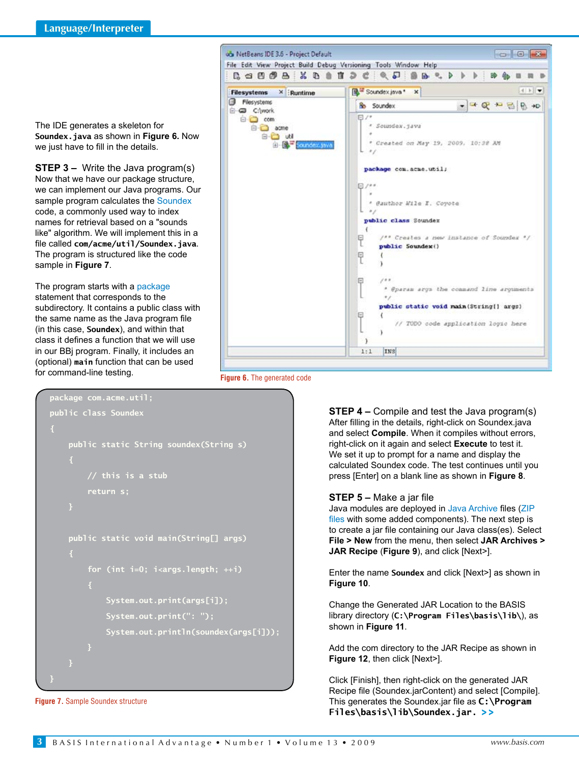The IDE generates a skeleton for **Soundex.java** as shown in **Figure 6.** Now we just have to fill in the details.

**STEP 3 –** Write the Java program(s) Now that we have our package structure, we can implement our Java programs. Our sample program calculates t[he Soundex](http://en.wikipedia.org/wiki/Soundex) code, a commonly used way to index names for retrieval based on a "sounds like" algorithm. We will implement this in a file called **com/acme/util/Soundex.java**. The program is structured like the code sample in **Figure 7**.

The program starts with [a package](http://en.wikipedia.org/wiki/Java_package)  statement that corresponds to the subdirectory. It contains a public class with the same name as the Java program file (in this case, **Soundex**), and within that class it defines a function that we will use in our BBj program. Finally, it includes an (optional) **main** function that can be used for command-line testing.



**Figure 6.** The generated code

```
package com.acme.util;
public class Soundex
     public static String soundex(String s)
         // this is a stub
         return s;
     public static void main(String[] args)
         for (int i=0; i<args.length; ++i)
             System.out.print(args[i]);
             System.out.print(": ");
             System.out.println(soundex(args[i]));
}
```
**Figure 7.** Sample Soundex structure

**STEP 4 –** Compile and test the Java program(s) After filling in the details, right-click on Soundex.java and select **Compile**. When it compiles without errors, right-click on it again and select **Execute** to test it. We set it up to prompt for a name and display the calculated Soundex code. The test continues until you press [Enter] on a blank line as shown in **Figure 8**.

#### **Step 5 –** Make a jar file

Java modules are deployed i[n Java Archive](http://en.wikipedia.org/wiki/JAR_%28file_format%29) files ([ZIP](http://en.wikipedia.org/wiki/ZIP_file_format)  [files](http://en.wikipedia.org/wiki/ZIP_file_format) with some added components). The next step is to create a jar file containing our Java class(es). Select **File > New** from the menu, then select **JAR Archives > JAR Recipe** (**Figure 9**), and click [Next>].

Enter the name **Soundex** and click [Next>] as shown in **Figure 10**.

Change the Generated JAR Location to the BASIS library directory (**C:\Program Files\basis\lib\**), as shown in **Figure 11**.

Add the com directory to the JAR Recipe as shown in **Figure 12**, then click [Next>].

Click [Finish], then right-click on the generated JAR Recipe file (Soundex.jarContent) and select [Compile]. This generates the Soundex.jar file as **C:\Program Files\basis\lib\Soundex.jar. > >**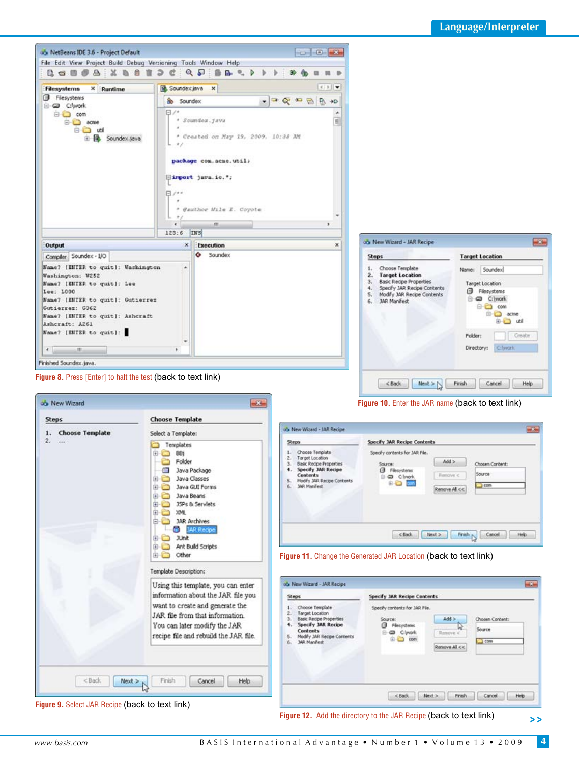

**Figure 9.** Select JAR Recipe (back to text link)

**> >**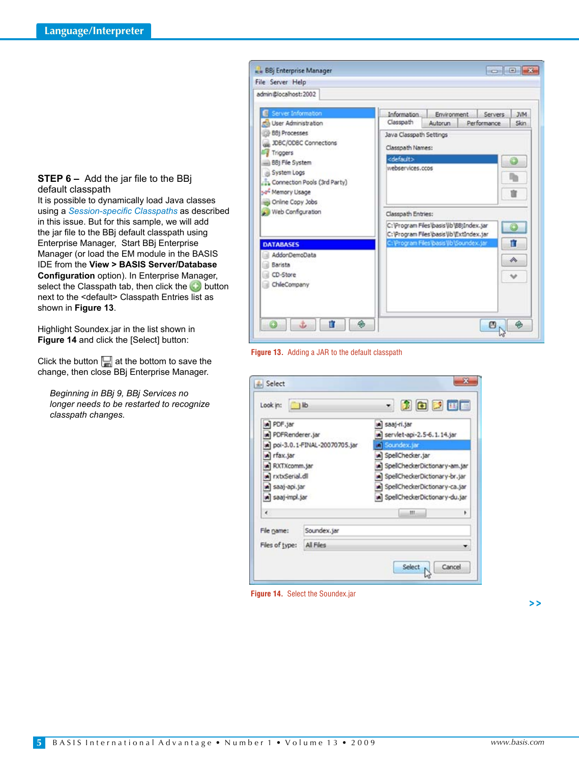#### **Step 6 –** Add the jar file to the BBj default classpath

It is possible to dynamically load Java classes using a *[Session-specific Classpaths](http://www.basis.com/advantage/mag-v13n1/sscp.pdf)* as described in this issue. But for this sample, we will add the jar file to the BBj default classpath using Enterprise Manager, Start BBj Enterprise Manager (or load the EM module in the BASIS IDE from the **View > BASIS Server/Database Configuration** option). In Enterprise Manager, select the Classpath tab, then click the  $\bigcirc$  button next to the <default> Classpath Entries list as shown in **Figure 13**.

Highlight Soundex.jar in the list shown in **Figure 14** and click the [Select] button:

Click the button  $\Box$  at the bottom to save the change, then close BBj Enterprise Manager.

*Beginning in BBj 9, BBj Services no longer needs to be restarted to recognize classpath changes.*





| Look in:                     | $\n  1$     | 202 H                           |   |  |
|------------------------------|-------------|---------------------------------|---|--|
| PDF.jar                      |             | a saaj-ri.jar                   |   |  |
| PDFRenderer.jar              |             | servlet-api-2.5-6.1.14.jar      |   |  |
| poi-3.0.1-FINAL-20070705.jar |             | Soundex.jar                     |   |  |
| rfax.jar                     |             | SpeliChecker.jar                |   |  |
| RXTXcomm.jar                 |             | SpelCheckerDictionary-am.jar    |   |  |
| rxtxSerial.dll               |             | SpeliCheckerDictionary-br.jar   |   |  |
| a saaj-api.jar               |             | SpelCheckerDictionary-ca.jar    |   |  |
| a saaj-impl.jar              |             | a] SpelCheckerDictionary-du.jar |   |  |
| e                            |             | m                               | ٠ |  |
| File name:                   | Soundex.jar |                                 |   |  |
|                              | All Files   |                                 |   |  |

**Figure 14.** Select the Soundex.jar

**> >**